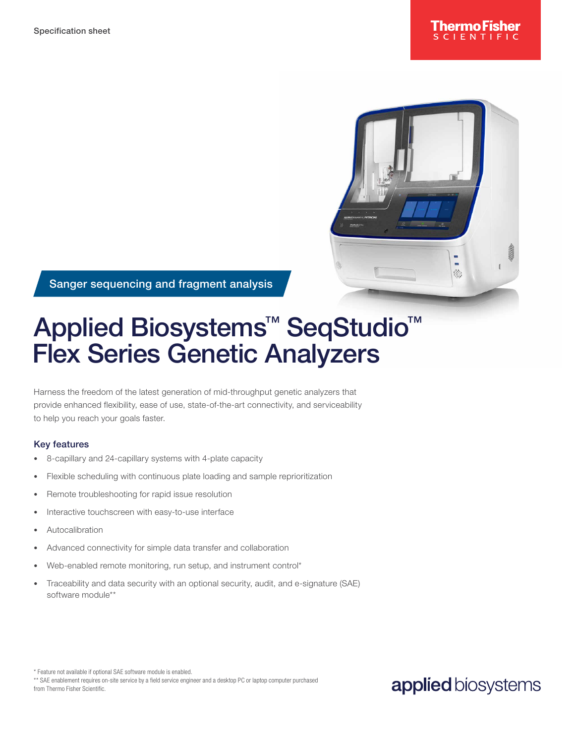

Sanger sequencing and fragment analysis

# Applied Biosystems<sup>™</sup> SeqStudio<sup>™</sup> Flex Series Genetic Analyzers

Harness the freedom of the latest generation of mid-throughput genetic analyzers that provide enhanced flexibility, ease of use, state-of-the-art connectivity, and serviceability to help you reach your goals faster.

#### Key features

- 8-capillary and 24-capillary systems with 4-plate capacity
- Flexible scheduling with continuous plate loading and sample reprioritization
- Remote troubleshooting for rapid issue resolution
- Interactive touchscreen with easy-to-use interface
- **Autocalibration**
- Advanced connectivity for simple data transfer and collaboration
- Web-enabled remote monitoring, run setup, and instrument control\*
- Traceability and data security with an optional security, audit, and e-signature (SAE) software module\*\*

\* Feature not available if optional SAE software module is enabled.

### applied biosystems

<sup>\*\*</sup> SAE enablement requires on-site service by a field service engineer and a desktop PC or laptop computer purchased from Thermo Fisher Scientific.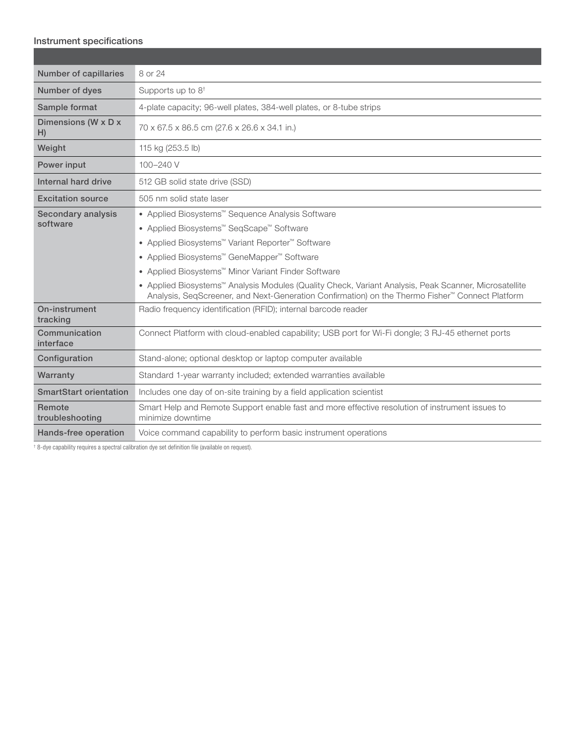#### Instrument specifications

| Number of capillaries          | 8 or 24                                                                                                                                                                                                              |  |  |  |  |  |
|--------------------------------|----------------------------------------------------------------------------------------------------------------------------------------------------------------------------------------------------------------------|--|--|--|--|--|
| Number of dyes                 | Supports up to $8^{\dagger}$                                                                                                                                                                                         |  |  |  |  |  |
| Sample format                  | 4-plate capacity; 96-well plates, 384-well plates, or 8-tube strips                                                                                                                                                  |  |  |  |  |  |
| Dimensions (W x D x<br>H)      | 70 x 67.5 x 86.5 cm (27.6 x 26.6 x 34.1 in.)                                                                                                                                                                         |  |  |  |  |  |
| Weight                         | 115 kg (253.5 lb)                                                                                                                                                                                                    |  |  |  |  |  |
| Power input                    | 100-240 V                                                                                                                                                                                                            |  |  |  |  |  |
| Internal hard drive            | 512 GB solid state drive (SSD)                                                                                                                                                                                       |  |  |  |  |  |
| <b>Excitation source</b>       | 505 nm solid state laser                                                                                                                                                                                             |  |  |  |  |  |
| Secondary analysis<br>software | ● Applied Biosystems <sup>™</sup> Sequence Analysis Software                                                                                                                                                         |  |  |  |  |  |
|                                | ● Applied Biosystems <sup>™</sup> SeqScape <sup>™</sup> Software                                                                                                                                                     |  |  |  |  |  |
|                                | ● Applied Biosystems™ Variant Reporter™ Software                                                                                                                                                                     |  |  |  |  |  |
|                                | ● Applied Biosystems™ GeneMapper™ Software                                                                                                                                                                           |  |  |  |  |  |
|                                | ● Applied Biosystems <sup>™</sup> Minor Variant Finder Software                                                                                                                                                      |  |  |  |  |  |
|                                | • Applied Biosystems <sup>™</sup> Analysis Modules (Quality Check, Variant Analysis, Peak Scanner, Microsatellite<br>Analysis, SeqScreener, and Next-Generation Confirmation) on the Thermo Fisher™ Connect Platform |  |  |  |  |  |
| On-instrument<br>tracking      | Radio frequency identification (RFID); internal barcode reader                                                                                                                                                       |  |  |  |  |  |
| Communication<br>interface     | Connect Platform with cloud-enabled capability; USB port for Wi-Fi dongle; 3 RJ-45 ethernet ports                                                                                                                    |  |  |  |  |  |
| Configuration                  | Stand-alone; optional desktop or laptop computer available                                                                                                                                                           |  |  |  |  |  |
| Warranty                       | Standard 1-year warranty included; extended warranties available                                                                                                                                                     |  |  |  |  |  |
| <b>SmartStart orientation</b>  | Includes one day of on-site training by a field application scientist                                                                                                                                                |  |  |  |  |  |
| Remote<br>troubleshooting      | Smart Help and Remote Support enable fast and more effective resolution of instrument issues to<br>minimize downtime                                                                                                 |  |  |  |  |  |
| Hands-free operation           | Voice command capability to perform basic instrument operations                                                                                                                                                      |  |  |  |  |  |

† 8-dye capability requires a spectral calibration dye set definition file (available on request).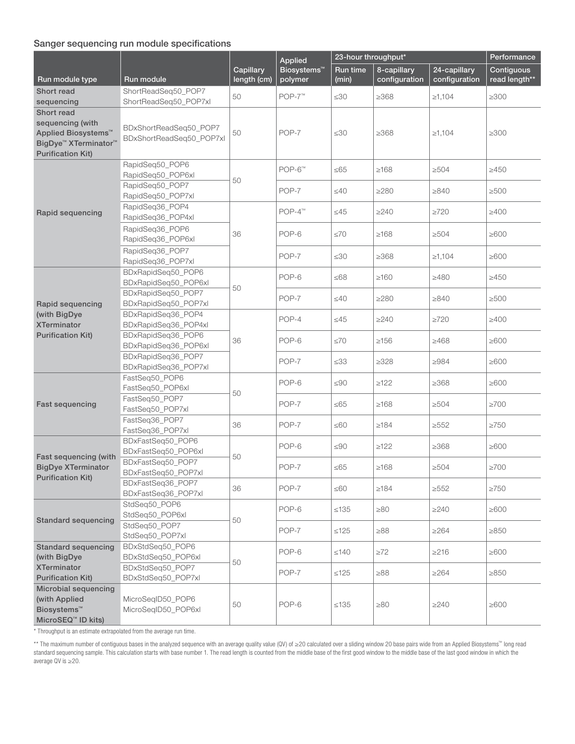#### Sanger sequencing run module specifications

|                                              |                                            |                          | Applied                            | 23-hour throughput* | Performance                  |                               |                             |  |
|----------------------------------------------|--------------------------------------------|--------------------------|------------------------------------|---------------------|------------------------------|-------------------------------|-----------------------------|--|
| Run module type                              | Run module                                 | Capillary<br>length (cm) | Biosystems <sup>™</sup><br>polymer | Run time<br>(min)   | 8-capillary<br>configuration | 24-capillary<br>configuration | Contiguous<br>read length** |  |
| <b>Short read</b>                            | ShortReadSeq50_POP7                        | 50                       | POP-7™                             | $\leq 30$           | $\geq 368$                   | $\ge 1,104$                   | $\geq 300$                  |  |
| sequencing                                   | ShortReadSeq50 POP7xl                      |                          |                                    |                     |                              |                               |                             |  |
| <b>Short read</b>                            |                                            |                          |                                    |                     |                              |                               |                             |  |
| sequencing (with                             | BDxShortReadSeq50_POP7                     |                          | POP-7                              | $\leq 30$           | $\geq 368$                   |                               |                             |  |
| Applied Biosystems <sup>™</sup>              | BDxShortReadSeq50_POP7xl                   | 50                       |                                    |                     |                              | $\ge 1,104$                   | $\geq 300$                  |  |
| BigDye <sup>™</sup> XTerminator <sup>™</sup> |                                            |                          |                                    |                     |                              |                               |                             |  |
| <b>Purification Kit)</b>                     | RapidSeq50_POP6                            |                          |                                    |                     |                              |                               |                             |  |
|                                              | RapidSeg50 POP6xl                          |                          | $POP-6m$                           | $\leq 65$           | $\geq 168$                   | $\geq 504$                    | $\geq 450$                  |  |
|                                              | RapidSeg50 POP7                            | 50                       |                                    |                     |                              |                               |                             |  |
|                                              | RapidSeq50_POP7xl                          |                          | POP-7                              | $\leq 40$           | $\geq$ 280                   | >840                          | $\geq 500$                  |  |
|                                              | RapidSeq36_POP4                            |                          |                                    | $\leq45$            | >240                         | $\geq$ 720                    |                             |  |
| Rapid sequencing                             | RapidSeq36_POP4xl                          |                          | $POP-4^m$                          |                     |                              |                               | $\geq 400$                  |  |
|                                              | RapidSeq36_POP6                            | 36                       | POP-6                              | $\leq 70$           | $\geq 168$                   | $\geq 504$                    | $\geq 600$                  |  |
|                                              | RapidSeq36_POP6xl                          |                          |                                    |                     |                              |                               |                             |  |
|                                              | RapidSeq36_POP7                            |                          | POP-7                              | $\leq 30$           | $\geq 368$                   | $\geq 1,104$                  | $\geq 600$                  |  |
|                                              | RapidSeq36_POP7xl                          |                          |                                    |                     |                              |                               |                             |  |
|                                              | BDxRapidSeq50_POP6                         |                          | POP-6                              | ≤68                 | $\geq 160$                   | >480                          | $\geq 450$                  |  |
|                                              | BDxRapidSeq50_POP6xl<br>BDxRapidSeq50_POP7 | 50                       |                                    |                     |                              |                               |                             |  |
| Rapid sequencing                             | BDxRapidSeq50_POP7xl                       |                          | POP-7                              | $\leq 40$           | >280                         | >840                          | $\geq 500$                  |  |
| (with BigDye                                 | BDxRapidSeq36_POP4                         |                          | POP-4                              | $\leq$ 45           | >240                         | $\geq 720$                    |                             |  |
| <b>XTerminator</b>                           | BDxRapidSeq36_POP4xl                       |                          |                                    |                     |                              |                               | $\geq 400$                  |  |
| <b>Purification Kit)</b>                     | BDxRapidSeq36_POP6                         | 36                       | POP-6                              | $\leq 70$           | $\geq 156$                   | >468                          | $\geq 600$                  |  |
|                                              | BDxRapidSeq36_POP6xl                       |                          |                                    |                     |                              |                               |                             |  |
|                                              | BDxRapidSeq36_POP7                         |                          | POP-7                              | $\leq 33$           | ≥328                         | >984                          | $\geq 600$                  |  |
|                                              | BDxRapidSeq36_POP7xl                       |                          |                                    |                     |                              |                               |                             |  |
|                                              | FastSeq50_POP6                             |                          | POP-6                              | $\leq 90$           | $\geq$ 122                   | $\geq 368$                    | $\geq 600$                  |  |
| <b>Fast sequencing</b>                       | FastSeq50_POP6xl<br>FastSeq50_POP7         | 50                       |                                    |                     |                              |                               |                             |  |
|                                              | FastSeq50_POP7xl                           |                          | POP-7                              | $≤65$               | $\geq 168$                   | $\geq 504$                    | $\geq 700$                  |  |
|                                              | FastSeq36_POP7                             |                          |                                    |                     |                              |                               |                             |  |
|                                              | FastSeq36_POP7xl                           | 36                       | POP-7                              | $\leq 60$           | $\geq 184$                   | $\geq 552$                    | $\geq 750$                  |  |
|                                              | BDxFastSeq50_POP6                          |                          | POP-6                              | ≤90                 | $\geq$ 122                   | ≥368                          | $\geq 600$                  |  |
| Fast sequencing (with                        | BDxFastSeq50_POP6xl                        | 50                       |                                    |                     |                              |                               |                             |  |
| <b>BigDye XTerminator</b>                    | BDxFastSeq50_POP7                          |                          | POP-7                              | $\leq 65$           | $\geq 168$                   | $\geq 504$                    | $\geq 700$                  |  |
| <b>Purification Kit)</b>                     | BDxFastSeq50_POP7xl<br>BDxFastSeq36_POP7   |                          |                                    |                     |                              |                               |                             |  |
|                                              | BDxFastSeq36_POP7xl                        | 36                       | POP-7                              | $\leq 60$           | $\geq 184$                   | $\geq 552$                    | $\geq 750$                  |  |
|                                              | StdSeq50_POP6                              |                          |                                    |                     |                              |                               |                             |  |
| <b>Standard sequencing</b>                   | StdSeq50_POP6xl                            |                          | POP-6                              | $\leq 135$          | >80                          | >240                          | $\geq 600$                  |  |
|                                              | StdSeq50_POP7                              | 50                       | POP-7                              | $\leq 125$          | 88≤                          | $\geq$ 264                    | $\geq 850$                  |  |
|                                              | StdSeg50 POP7xl                            |                          |                                    |                     |                              |                               |                             |  |
| <b>Standard sequencing</b>                   | BDxStdSeq50_POP6                           |                          | POP-6                              | $\leq$ 140          | $\geq 72$                    | $\geq$ 216                    | $\geq 600$                  |  |
| (with BigDye<br><b>XTerminator</b>           | BDxStdSeq50_POP6xl                         | 50                       |                                    |                     |                              |                               |                             |  |
| <b>Purification Kit)</b>                     | BDxStdSeq50_POP7<br>BDxStdSeg50 POP7xl     |                          | POP-7                              | $≤125$              | $\geq 88$                    | $\geq 264$                    | $\geq 850$                  |  |
| Microbial sequencing                         |                                            |                          |                                    |                     |                              |                               |                             |  |
| (with Applied                                | MicroSeqID50_POP6                          |                          |                                    |                     |                              |                               |                             |  |
| Biosystems <sup>™</sup>                      | MicroSeqID50_POP6xl                        | 50                       | POP-6                              | ≤135                | $\geq 80$                    | >240                          | $\geq 600$                  |  |
| MicroSEQ <sup>™</sup> ID kits)               |                                            |                          |                                    |                     |                              |                               |                             |  |

\* Throughput is an estimate extrapolated from the average run time.

\*\* The maximum number of contiguous bases in the analyzed sequence with an average quality value (QV) of ≥20 calculated over a sliding window 20 base pairs wide from an Applied Biosystems™ long read standard sequencing sample. This calculation starts with base number 1. The read length is counted from the middle base of the first good window to the middle base of the last good window in which the average QV is ≥20.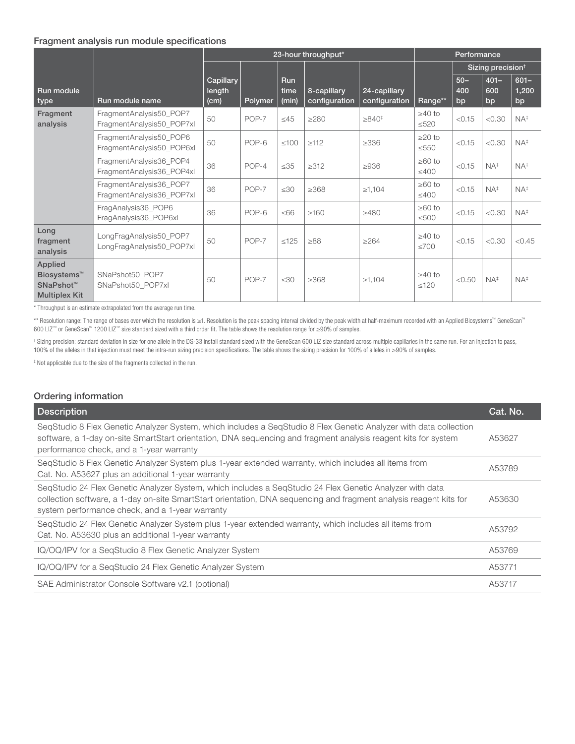#### Fragment analysis run module specifications

|                                                                                     |                                                      | 23-hour throughput*         |         |                             | Performance                  |                               |                            |                               |                      |                        |
|-------------------------------------------------------------------------------------|------------------------------------------------------|-----------------------------|---------|-----------------------------|------------------------------|-------------------------------|----------------------------|-------------------------------|----------------------|------------------------|
|                                                                                     |                                                      |                             |         |                             |                              |                               |                            | Sizing precision <sup>t</sup> |                      |                        |
| Run module<br>type                                                                  | Run module name                                      | Capillary<br>length<br>(cm) | Polymer | <b>Run</b><br>time<br>(min) | 8-capillary<br>configuration | 24-capillary<br>configuration | Range**                    | $50 -$<br>400<br>bp           | $401 -$<br>600<br>bp | $601 -$<br>1,200<br>bp |
| Fragment<br>analysis                                                                | FragmentAnalysis50_POP7<br>FragmentAnalysis50 POP7xl | 50                          | POP-7   | $\leq 45$                   | >280                         | $\geq 840^{\circ}$            | $\geq 40$ to<br>$\leq 520$ | < 0.15                        | < 0.30               | $NA^{\ddagger}$        |
|                                                                                     | FragmentAnalysis50_POP6<br>FragmentAnalysis50_POP6xl | 50                          | POP-6   | $≤100$                      | $\geq$ 112                   | $\geq 336$                    | $\geq$ 20 to<br>$\leq 550$ | < 0.15                        | < 0.30               | $NA^{\ddagger}$        |
|                                                                                     | FragmentAnalysis36_POP4<br>FragmentAnalysis36 POP4xl | 36                          | POP-4   | $\leq 35$                   | $\geq 312$                   | $\geq$ 936                    | $\geq 60$ to<br>$\leq 400$ | < 0.15                        | $NA^{\ddagger}$      | $NA^{\ddagger}$        |
|                                                                                     | FragmentAnalysis36_POP7<br>FragmentAnalysis36_POP7xl | 36                          | POP-7   | $\leq 30$                   | $\geq 368$                   | $\ge 1,104$                   | $\geq 60$ to<br>$\leq 400$ | < 0.15                        | $NA^{\ddagger}$      | $NA^{\ddagger}$        |
|                                                                                     | FragAnalysis36_POP6<br>FragAnalysis36_POP6xl         | 36                          | POP-6   | $≤66$                       | >160                         | $\geq 480$                    | $\geq 60$ to<br>$\leq 500$ | < 0.15                        | < 0.30               | $NA^{\ddagger}$        |
| Long<br>fragment<br>analysis                                                        | LongFragAnalysis50_POP7<br>LongFragAnalysis50_POP7xl | 50                          | POP-7   | $\leq 125$                  | $\geq 88$                    | $\geq 264$                    | $\geq 40$ to<br><700       | < 0.15                        | < 0.30               | < 0.45                 |
| Applied<br>Biosystems <sup>™</sup><br>SNaPshot <sup>™</sup><br><b>Multiplex Kit</b> | SNaPshot50 POP7<br>SNaPshot50 POP7xl                 | 50                          | POP-7   | $\leq 30$                   | $\geq 368$                   | $\geq 1,104$                  | $\geq 40$ to<br>< 120      | < 0.50                        | $NA^{\ddagger}$      | $NA^{\ddagger}$        |

\* Throughput is an estimate extrapolated from the average run time.

\*\* Resolution range: The range of bases over which the resolution is ≥1. Resolution is the peak spacing interval divided by the peak width at half-maximum recorded with an Applied Biosystems™ GeneScan™ 600 LIZ™ or GeneScan™ 1200 LIZ™ size standard sized with a third order fit. The table shows the resolution range for ≥90% of samples.

† Sizing precision: standard deviation in size for one allele in the DS-33 install standard sized with the GeneScan 600 LIZ size standard across multiple capillaries in the same run. For an injection to pass, 100% of the alleles in that injection must meet the intra-run sizing precision specifications. The table shows the sizing precision for 100% of alleles in ≥90% of samples.

‡ Not applicable due to the size of the fragments collected in the run.

| Ordering information                                                                                                                                                                                                                                                              |          |
|-----------------------------------------------------------------------------------------------------------------------------------------------------------------------------------------------------------------------------------------------------------------------------------|----------|
| <b>Description</b>                                                                                                                                                                                                                                                                | Cat. No. |
| SeqStudio 8 Flex Genetic Analyzer System, which includes a SeqStudio 8 Flex Genetic Analyzer with data collection<br>software, a 1-day on-site SmartStart orientation, DNA sequencing and fragment analysis reagent kits for system<br>performance check, and a 1-year warranty   | A53627   |
| SegStudio 8 Flex Genetic Analyzer System plus 1-year extended warranty, which includes all items from<br>Cat. No. A53627 plus an additional 1-year warranty                                                                                                                       | A53789   |
| SegStudio 24 Flex Genetic Analyzer System, which includes a SegStudio 24 Flex Genetic Analyzer with data<br>collection software, a 1-day on-site SmartStart orientation, DNA sequencing and fragment analysis reagent kits for<br>system performance check, and a 1-year warranty | A53630   |
| SegStudio 24 Flex Genetic Analyzer System plus 1-year extended warranty, which includes all items from<br>Cat. No. A53630 plus an additional 1-year warranty                                                                                                                      | A53792   |
| IQ/OQ/IPV for a SeqStudio 8 Flex Genetic Analyzer System                                                                                                                                                                                                                          | A53769   |
| IQ/OQ/IPV for a SeqStudio 24 Flex Genetic Analyzer System                                                                                                                                                                                                                         | A53771   |
| SAE Administrator Console Software v2.1 (optional)                                                                                                                                                                                                                                | A53717   |